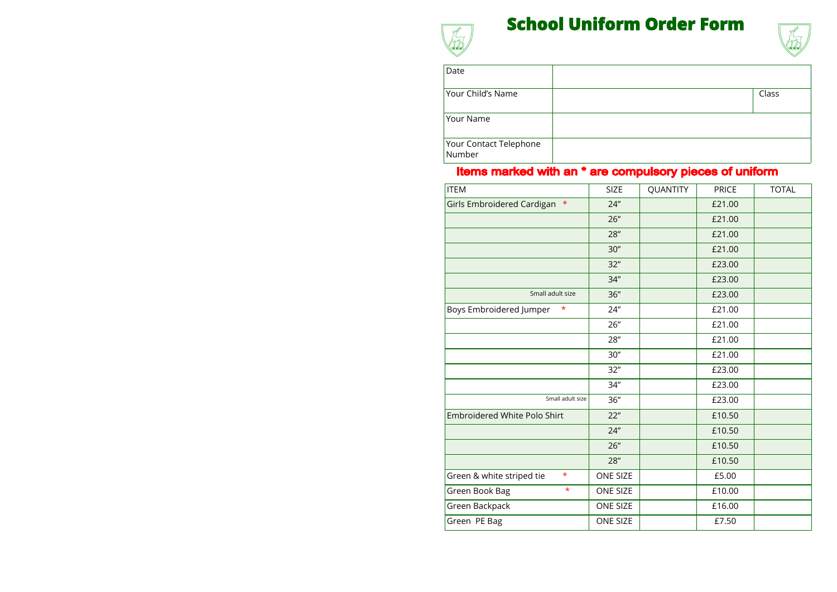## **School Uniform Order Form**



| <b>ITEM</b>                          | <b>SIZE</b>     | <b>QUANTITY</b> | <b>PRICE</b> | <b>TOTAL</b> |
|--------------------------------------|-----------------|-----------------|--------------|--------------|
| Girls Embroidered Cardigan *         | 24''            |                 | £21.00       |              |
|                                      | 26"             |                 | £21.00       |              |
|                                      | 28''            |                 | £21.00       |              |
|                                      | 30''            |                 | £21.00       |              |
|                                      | 32"             |                 | £23.00       |              |
|                                      | 34"             |                 | £23.00       |              |
| Small adult size                     | 36"             |                 | £23.00       |              |
| Boys Embroidered Jumper<br>*         | 24"             |                 | £21.00       |              |
|                                      | 26"             |                 | £21.00       |              |
|                                      | 28"             |                 | £21.00       |              |
|                                      | 30''            |                 | £21.00       |              |
|                                      | 32"             |                 | £23.00       |              |
|                                      | 34"             |                 | £23.00       |              |
| Small adult size                     | 36"             |                 | £23.00       |              |
| <b>Embroidered White Polo Shirt</b>  | 22"             |                 | £10.50       |              |
|                                      | 24"             |                 | £10.50       |              |
|                                      | 26"             |                 | £10.50       |              |
|                                      | 28''            |                 | £10.50       |              |
| $\star$<br>Green & white striped tie | <b>ONE SIZE</b> |                 | £5.00        |              |
| $\star$<br>Green Book Bag            | <b>ONE SIZE</b> |                 | £10.00       |              |
| Green Backpack                       | <b>ONE SIZE</b> |                 | £16.00       |              |
| Green PE Bag                         | <b>ONE SIZE</b> |                 | £7.50        |              |



| Class |
|-------|
|       |
|       |
|       |
|       |

| Class |
|-------|
|       |
|       |
|       |
|       |
|       |
|       |
|       |
|       |
|       |
|       |

## Items marked with an \* are compulsory pieces of uniform